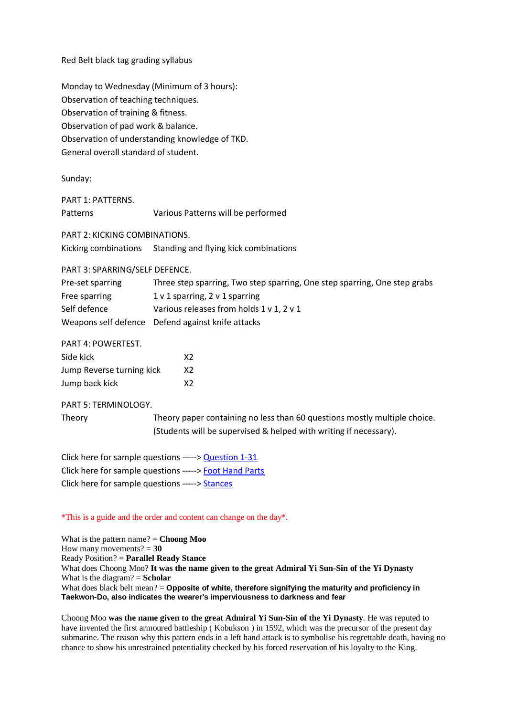Red Belt black tag grading syllabus

Monday to Wednesday (Minimum of 3 hours): Observation of teaching techniques. Observation of training & fitness. Observation of pad work & balance. Observation of understanding knowledge of TKD. General overall standard of student.

Sunday:

PART 1: PATTERNS. Patterns Various Patterns will be performed

PART 2: KICKING COMBINATIONS.

Kicking combinations Standing and flying kick combinations

PART 3: SPARRING/SELF DEFENCE.

| Pre-set sparring | Three step sparring, Two step sparring, One step sparring, One step grabs |
|------------------|---------------------------------------------------------------------------|
| Free sparring    | $1 \vee 1$ sparring, $2 \vee 1$ sparring                                  |
| Self defence     | Various releases from holds 1 v 1, 2 v 1                                  |
|                  | Weapons self defence Defend against knife attacks                         |

PART 4: POWERTEST.

| Side kick                 | X2 |
|---------------------------|----|
| Jump Reverse turning kick | X2 |
| Jump back kick            | X2 |

PART 5: TERMINOLOGY.

Theory Theory paper containing no less than 60 questions mostly multiple choice. (Students will be supervised & helped with writing if necessary).

Click here for sample questions -----> [Question 1-31](http://taekwondosouthschools.yolasite.com/resources/Red%20Tag%20plus%20questions%201-31%20Online.pdf) Click here for sample questions -----> [Foot Hand Parts](http://taekwondosouthschools.yolasite.com/resources/Black%20Belt%20Questions%20Foot%20%26%20Hand%20Parts%20Online.pdf) Click here for sample questions -----> [Stances](http://taekwondosouthschools.yolasite.com/resources/Black%20Belt%20Questions%20Stances%20Online.pdf)

\*This is a guide and the order and content can change on the day\*.

What is the pattern name? = **Choong Moo** How many movements?  $= 30$ Ready Position? = **Parallel Ready Stance** What does Choong Moo? **It was the name given to the great Admiral Yi Sun-Sin of the Yi Dynasty** What is the diagram? = **Scholar** What does black belt mean? = **Opposite of white, therefore signifying the maturity and proficiency in Taekwon-Do, also indicates the wearer's imperviousness to darkness and fear**

Choong Moo **was the name given to the great Admiral Yi Sun-Sin of the Yi Dynasty**. He was reputed to have invented the first armoured battleship ( Kobukson ) in 1592, which was the precursor of the present day submarine. The reason why this pattern ends in a left hand attack is to symbolise his regrettable death, having no chance to show his unrestrained potentiality checked by his forced reservation of his loyalty to the King.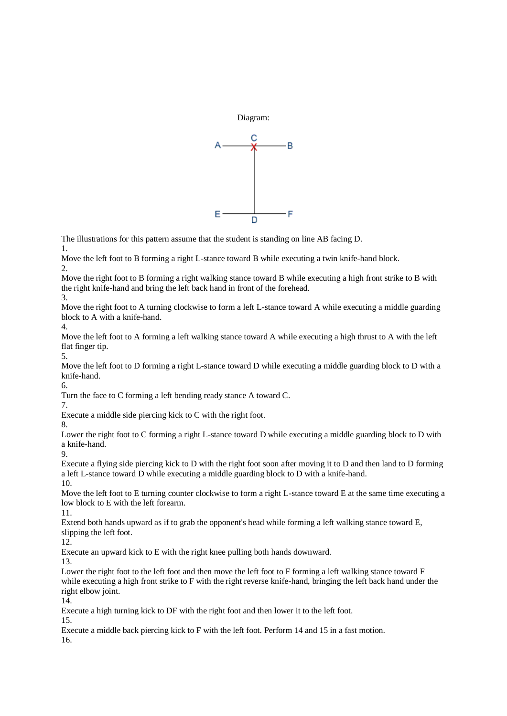

The illustrations for this pattern assume that the student is standing on line AB facing D.

1.

Move the left foot to B forming a right L-stance toward B while executing a twin knife-hand block.  $\mathcal{D}$ 

Move the right foot to B forming a right walking stance toward B while executing a high front strike to B with the right knife-hand and bring the left back hand in front of the forehead.

3.

Move the right foot to A turning clockwise to form a left L-stance toward A while executing a middle guarding block to A with a knife-hand.

4.

Move the left foot to A forming a left walking stance toward A while executing a high thrust to A with the left flat finger tip.

5.

Move the left foot to D forming a right L-stance toward D while executing a middle guarding block to D with a knife-hand. 6.

Turn the face to C forming a left bending ready stance A toward C.

7.

Execute a middle side piercing kick to C with the right foot.

8.

Lower the right foot to C forming a right L-stance toward D while executing a middle guarding block to D with a knife-hand.

9.

Execute a flying side piercing kick to D with the right foot soon after moving it to D and then land to D forming a left L-stance toward D while executing a middle guarding block to D with a knife-hand.

10.

Move the left foot to E turning counter clockwise to form a right L-stance toward E at the same time executing a low block to E with the left forearm.

11.

Extend both hands upward as if to grab the opponent's head while forming a left walking stance toward E, slipping the left foot.

12.

Execute an upward kick to E with the right knee pulling both hands downward.

13.

Lower the right foot to the left foot and then move the left foot to F forming a left walking stance toward F while executing a high front strike to F with the right reverse knife-hand, bringing the left back hand under the right elbow joint.

14.

Execute a high turning kick to DF with the right foot and then lower it to the left foot.

15.

Execute a middle back piercing kick to F with the left foot. Perform 14 and 15 in a fast motion. 16.